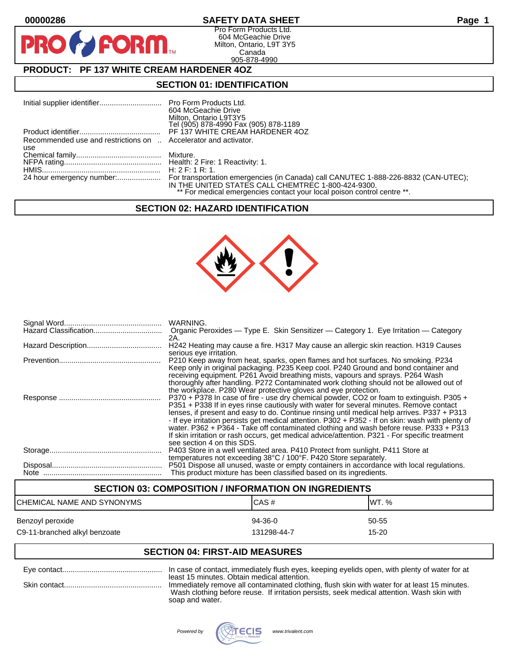**PIR** 

# **00000286 SAFETY DATA SHEET Page 1**

Pro Form Products Ltd. 604 McGeachie Drive Milton, Ontario, L9T 3Y5 Canada 905-878-4990

# **PRODUCT: PF 137 WHITE CREAM HARDENER 4OZ**

**FORM.** 

## **SECTION 01: IDENTIFICATION**

|                                                                 | 604 McGeachie Drive                                                     |
|-----------------------------------------------------------------|-------------------------------------------------------------------------|
|                                                                 | Milton, Ontario L9T3Y5                                                  |
|                                                                 | Tel (905) 878-4990 Fax (905) 878-1189                                   |
|                                                                 | PF 137 WHITE CREAM HARDENER 4OZ                                         |
| Recommended use and restrictions on  Accelerator and activator. |                                                                         |
| use                                                             |                                                                         |
|                                                                 |                                                                         |
|                                                                 |                                                                         |
|                                                                 | H: 2F: 1R: 1                                                            |
|                                                                 |                                                                         |
|                                                                 | IN THE UNITED STATES CALL CHEMTREC 1-800-424-9300.                      |
|                                                                 | ** For medical emergencies contact your local poison control centre **. |

## **SECTION 02: HAZARD IDENTIFICATION**



| WARNING.<br>Organic Peroxides — Type E. Skin Sensitizer — Category 1. Eye Irritation — Category                                                                                                                                                                                                                                                                                                                                                                                                                                                                                                                  |
|------------------------------------------------------------------------------------------------------------------------------------------------------------------------------------------------------------------------------------------------------------------------------------------------------------------------------------------------------------------------------------------------------------------------------------------------------------------------------------------------------------------------------------------------------------------------------------------------------------------|
| 2A.<br>H242 Heating may cause a fire. H317 May cause an allergic skin reaction. H319 Causes                                                                                                                                                                                                                                                                                                                                                                                                                                                                                                                      |
| serious eye irritation.<br>P210 Keep away from heat, sparks, open flames and hot surfaces. No smoking. P234<br>Keep only in original packaging. P235 Keep cool. P240 Ground and bond container and<br>receiving equipment. P261 Avoid breathing mists, vapours and sprays. P264 Wash<br>thoroughly after handling. P272 Contaminated work clothing should not be allowed out of<br>the workplace. P280 Wear protective gloves and eye protection.                                                                                                                                                                |
| P370 + P378 In case of fire - use dry chemical powder, CO2 or foam to extinguish. P305 +<br>P351 + P338 If in eyes rinse cautiously with water for several minutes. Remove contact<br>lenses, if present and easy to do. Continue rinsing until medical help arrives. P337 + P313<br>- If eye irritation persists get medical attention. P302 + P352 - If on skin: wash with plenty of<br>water. P362 + P364 - Take off contaminated clothing and wash before reuse. P333 + P313<br>If skin irritation or rash occurs, get medical advice/attention. P321 - For specific treatment<br>see section 4 on this SDS. |
| P403 Store in a well ventilated area. P410 Protect from sunlight. P411 Store at<br>temperatures not exceeding 38°C / 100°F. P420 Store separately.                                                                                                                                                                                                                                                                                                                                                                                                                                                               |
| P501 Dispose all unused, waste or empty containers in accordance with local regulations.<br>This product mixture has been classified based on its ingredients.                                                                                                                                                                                                                                                                                                                                                                                                                                                   |

# **SECTION 03: COMPOSITION / INFORMATION ON INGREDIENTS** CHEMICAL NAME AND SYNONYMS CHEMICAL NAME AND SYNONYMS Benzoyl peroxide 60-55 states and the state of the 94-36-0 states of the 50-55 states of the  $\frac{94-36-0}{2}$ C9-11-branched alkyl benzoate 15-20 and the 131298-44-7 control in the 15-20

# **SECTION 04: FIRST-AID MEASURES**

| least 15 minutes. Obtain medical attention.                                                                                                                                                |
|--------------------------------------------------------------------------------------------------------------------------------------------------------------------------------------------|
| Immediately remove all contaminated clothing, flush skin with water for at least 15 minutes.<br>Wash clothing before reuse. If irritation persists, seek medical attention. Wash skin with |
| soap and water.                                                                                                                                                                            |

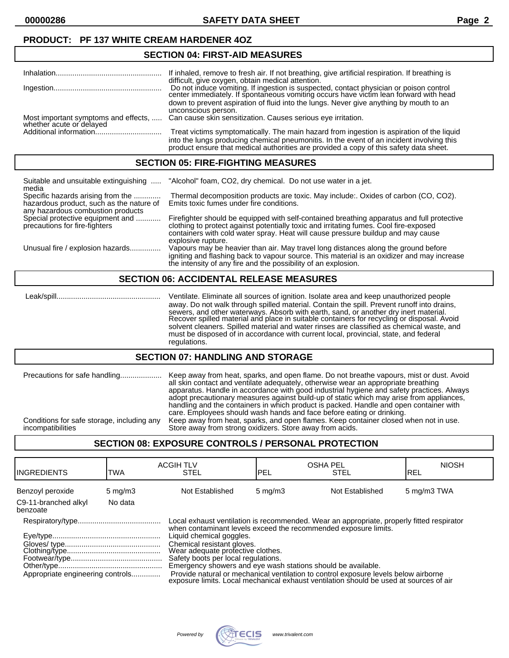**00000286 SAFETY DATA SHEET Page 2**

## **PRODUCT: PF 137 WHITE CREAM HARDENER 4OZ**

## **SECTION 04: FIRST-AID MEASURES**

|                                                                  | If inhaled, remove to fresh air. If not breathing, give artificial respiration. If breathing is |
|------------------------------------------------------------------|-------------------------------------------------------------------------------------------------|
|                                                                  | difficult, give oxygen, obtain medical attention.                                               |
|                                                                  |                                                                                                 |
|                                                                  | Do not induce vomiting. If ingestion is suspected, contact physician or poison control          |
|                                                                  | center immediately. If spontaneous vomiting occurs have victim lean forward with head           |
|                                                                  | down to prevent aspiration of fluid into the lungs. Never give anything by mouth to an          |
|                                                                  |                                                                                                 |
|                                                                  | unconscious person.                                                                             |
|                                                                  | Can cause skin sensitization. Causes serious eye irritation.                                    |
| Most important symptoms and effects,<br>whether acute or delayed |                                                                                                 |
|                                                                  | Treat victims symptomatically. The main hazard from ingestion is aspiration of the liquid       |
|                                                                  |                                                                                                 |
|                                                                  | into the lungs producing chemical pneumonitis. In the event of an incident involving this       |
|                                                                  | product ensure that medical authorities are provided a copy of this safety data sheet.          |
|                                                                  |                                                                                                 |

#### **SECTION 05: FIRE-FIGHTING MEASURES**

| Suitable and unsuitable extinguishing<br>media                                                                     | "Alcohol" foam, CO2, dry chemical. Do not use water in a jet.                                                                                                                                                                                                                                 |
|--------------------------------------------------------------------------------------------------------------------|-----------------------------------------------------------------------------------------------------------------------------------------------------------------------------------------------------------------------------------------------------------------------------------------------|
| Specific hazards arising from the<br>hazardous product, such as the nature of<br>any hazardous combustion products | Thermal decomposition products are toxic. May include: Oxides of carbon (CO, CO2).<br>Emits toxic fumes under fire conditions.                                                                                                                                                                |
| Special protective equipment and<br>precautions for fire-fighters                                                  | Firefighter should be equipped with self-contained breathing apparatus and full protective<br>clothing to protect against potentially toxic and irritating fumes. Cool fire-exposed<br>containers with cold water spray. Heat will cause pressure buildup and may cause<br>explosive rupture. |
| Unusual fire / explosion hazards                                                                                   | Vapours may be heavier than air. May travel long distances along the ground before<br>igniting and flashing back to vapour source. This material is an oxidizer and may increase<br>the intensity of any fire and the possibility of an explosion.                                            |

## **SECTION 06: ACCIDENTAL RELEASE MEASURES**

 Leak/spill.................................................. Ventilate. Eliminate all sources of ignition. Isolate area and keep unauthorized people away. Do not walk through spilled material. Contain the spill. Prevent runoff into drains, sewers, and other waterways. Absorb with earth, sand, or another dry inert material. Recover spilled material and place in suitable containers for recycling or disposal. Avoid solvent cleaners. Spilled material and water rinses are classified as chemical waste, and must be disposed of in accordance with current local, provincial, state, and federal regulations.

#### **SECTION 07: HANDLING AND STORAGE**

| Precautions for safe handling              | Keep away from heat, sparks, and open flame. Do not breathe vapours, mist or dust. Avoid<br>all skin contact and ventilate adequately, otherwise wear an appropriate breathing<br>apparatus. Handle in accordance with good industrial hygiene and safety practices. Always<br>adopt precautionary measures against build-up of static which may arise from appliances,<br>handling and the containers in which product is packed. Handle and open container with<br>care. Employees should wash hands and face before eating or drinking. |
|--------------------------------------------|--------------------------------------------------------------------------------------------------------------------------------------------------------------------------------------------------------------------------------------------------------------------------------------------------------------------------------------------------------------------------------------------------------------------------------------------------------------------------------------------------------------------------------------------|
| Conditions for safe storage, including any | Keep away from heat, sparks, and open flames. Keep container closed when not in use.                                                                                                                                                                                                                                                                                                                                                                                                                                                       |
| incompatibilities                          | Store away from strong oxidizers. Store away from acids.                                                                                                                                                                                                                                                                                                                                                                                                                                                                                   |

# **SECTION 08: EXPOSURE CONTROLS / PERSONAL PROTECTION**

| <b>I</b> INGREDIENTS             | TWA              | <b>ACGIH TLV</b><br><b>STEL</b>                                                                                                                                                                                                                                                                                                                                                                                                                                                                                                                     | <b>OSHA PEL</b><br>PEL | <b>STEL</b>     | <b>NIOSH</b><br>IREL |
|----------------------------------|------------------|-----------------------------------------------------------------------------------------------------------------------------------------------------------------------------------------------------------------------------------------------------------------------------------------------------------------------------------------------------------------------------------------------------------------------------------------------------------------------------------------------------------------------------------------------------|------------------------|-----------------|----------------------|
| Benzoyl peroxide                 | $5 \text{ mg/m}$ | Not Established                                                                                                                                                                                                                                                                                                                                                                                                                                                                                                                                     | $5 \text{ mg/m}$       | Not Established | 5 mg/m3 TWA          |
| C9-11-branched alkyl<br>benzoate | No data          |                                                                                                                                                                                                                                                                                                                                                                                                                                                                                                                                                     |                        |                 |                      |
| Appropriate engineering controls |                  | Local exhaust ventilation is recommended. Wear an appropriate, properly fitted respirator<br>when contaminant levels exceed the recommended exposure limits.<br>Liquid chemical goggles.<br>Chemical resistant gloves.<br>Wear adequate profective clothes.<br>Safety boots per local regulations.<br>Emergency showers and eye wash stations should be available.<br>Provide natural or mechanical ventilation to control exposure levels below airborne<br>exposure limits. Local mechanical exhaust ventilation should be used at sources of air |                        |                 |                      |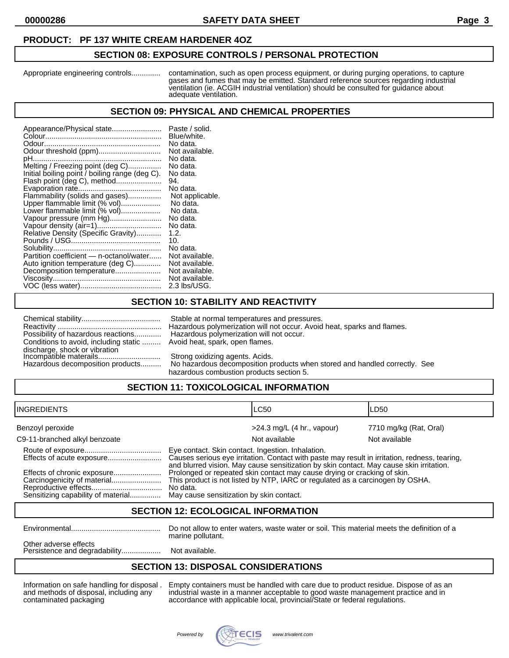#### **PRODUCT: PF 137 WHITE CREAM HARDENER 4OZ**

#### **SECTION 08: EXPOSURE CONTROLS / PERSONAL PROTECTION**

Appropriate engineering controls.............. contamination, such as open process equipment, or during purging operations, to capture gases and fumes that may be emitted. Standard reference sources regarding industrial ventilation (ie. ACGIH industrial ventilation) should be consulted for guidance about adequate ventilation.

### **SECTION 09: PHYSICAL AND CHEMICAL PROPERTIES**

| Appearance/Physical state<br>Odour threshold (ppm)<br>pH<br>Melting / Freezing point (deg C)<br>Initial boiling point / boiling range (deg C).<br>Flash point (deg C), method<br>Flammability (solids and gases)<br>Upper flammable limit (% vol)<br>Lower flammable limit (% vol)<br>Vapour pressure (mm Hg)<br>Relative Density (Specific Gravity)<br>Partition coefficient - n-octanol/water<br>Auto ignition temperature (deg C)<br>Decomposition temperature | Paste / solid.<br>Blue/white.<br>No data.<br>Not available.<br>No data.<br>No data.<br>No data.<br>94.<br>No data.<br>Not applicable.<br>No data.<br>No data.<br>No data.<br>No data.<br>1.2.<br>10.<br>No data.<br>Not available.<br>Not available.<br>Not available.<br>Not available. |
|-------------------------------------------------------------------------------------------------------------------------------------------------------------------------------------------------------------------------------------------------------------------------------------------------------------------------------------------------------------------------------------------------------------------------------------------------------------------|------------------------------------------------------------------------------------------------------------------------------------------------------------------------------------------------------------------------------------------------------------------------------------------|
|                                                                                                                                                                                                                                                                                                                                                                                                                                                                   | 2.3 lbs/USG.                                                                                                                                                                                                                                                                             |

# **SECTION 10: STABILITY AND REACTIVITY**

| Possibility of hazardous reactions                      |
|---------------------------------------------------------|
| Conditions to avoid, including static                   |
| discharge, shock or vibration<br>Incompatible materails |
|                                                         |
| the consideration of a second contribution and changes. |

Stable at normal temperatures and pressures. Reactivity .................................................. Hazardous polymerization will not occur. Avoid heat, sparks and flames. Hazardous polymerization will not occur. Avoid heat, spark, open flames.

Strong oxidizing agents. Acids.

Hazardous decomposition products.......... No hazardous decomposition products when stored and handled correctly. See hazardous combustion products section 5.

# **SECTION 11: TOXICOLOGICAL INFORMATION**

| <b>INGREDIENTS</b>            |                                                                                                                                                                                                                                               | <b>LC50</b>                  | LD50                   |
|-------------------------------|-----------------------------------------------------------------------------------------------------------------------------------------------------------------------------------------------------------------------------------------------|------------------------------|------------------------|
| Benzoyl peroxide              |                                                                                                                                                                                                                                               | $>24.3$ mg/L (4 hr., vapour) | 7710 mg/kg (Rat, Oral) |
| C9-11-branched alkyl benzoate |                                                                                                                                                                                                                                               | Not available                | Not available          |
| Effects of acute exposure     | Eye contact. Skin contact. Ingestion. Inhalation.<br>Causes serious eye irritation. Contact with paste may result in irritation, redness, tearing,<br>and blurred vision. May cause sensitization by skin contact. May cause skin irritation. |                              |                        |
| Carcinogenicity of material   | Prolonged or repeated skin contact may cause drying or cracking of skin.<br>This product is not listed by NTP, IARC or regulated as a carcinogen by OSHA.<br>No data.                                                                         |                              |                        |

## **SECTION 12: ECOLOGICAL INFORMATION**

Environmental........................................... Do not allow to enter waters, waste water or soil. This material meets the definition of a marine pollutant.

Other adverse effects Persistence and degradability......................... Not available.

# **SECTION 13: DISPOSAL CONSIDERATIONS**

Information on safe handling for disposal . Empty containers must be handled with care due to product residue. Dispose of as an and methods of disposal, including any industrial waste in a manner acceptable to good waste management practice and in contaminated packaging accordance with applicable local, provincial/State or federal regulations.